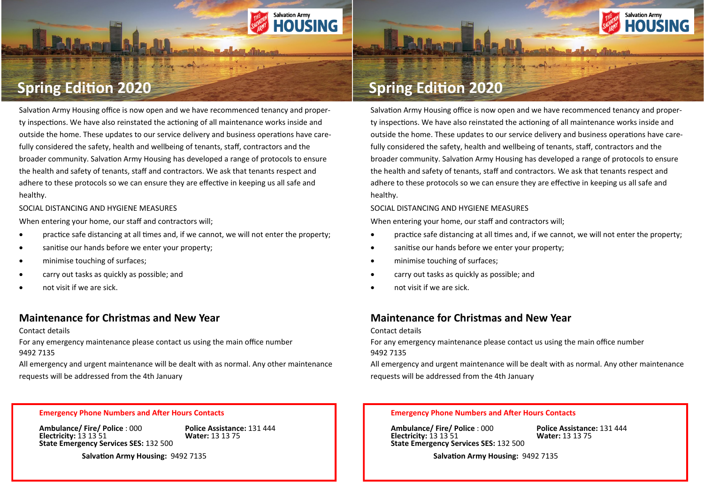

# **Spring Edition 2020**

Salvation Army Housing office is now open and we have recommenced tenancy and property inspections. We have also reinstated the actioning of all maintenance works inside and outside the home. These updates to our service delivery and business operations have carefully considered the safety, health and wellbeing of tenants, staff, contractors and the broader community. Salvation Army Housing has developed a range of protocols to ensure the health and safety of tenants, staff and contractors. We ask that tenants respect and adhere to these protocols so we can ensure they are effective in keeping us all safe and healthy.

**Salvation Army** 

**HOUSING** 

SOCIAL DISTANCING AND HYGIENE MEASURES

When entering your home, our staff and contractors will;

- practice safe distancing at all times and, if we cannot, we will not enter the property;
- sanitise our hands before we enter your property;
- minimise touching of surfaces;
- carry out tasks as quickly as possible; and
- not visit if we are sick.

## **Maintenance for Christmas and New Year**

#### Contact details

For any emergency maintenance please contact us using the main office number 9492 7135

All emergency and urgent maintenance will be dealt with as normal. Any other maintenance requests will be addressed from the 4th January

# **Spring Edition 2020**

Salvation Army Housing office is now open and we have recommenced tenancy and property inspections. We have also reinstated the actioning of all maintenance works inside and outside the home. These updates to our service delivery and business operations have carefully considered the safety, health and wellbeing of tenants, staff, contractors and the broader community. Salvation Army Housing has developed a range of protocols to ensure the health and safety of tenants, staff and contractors. We ask that tenants respect and adhere to these protocols so we can ensure they are effective in keeping us all safe and healthy.

SOCIAL DISTANCING AND HYGIENE MEASURES

When entering your home, our staff and contractors will;

- practice safe distancing at all times and, if we cannot, we will not enter the property;
- sanitise our hands before we enter your property;
- minimise touching of surfaces;
- carry out tasks as quickly as possible; and
- not visit if we are sick.

## **Maintenance for Christmas and New Year**

Contact details

For any emergency maintenance please contact us using the main office number 9492 7135

All emergency and urgent maintenance will be dealt with as normal. Any other maintenance requests will be addressed from the 4th January

#### **Emergency Phone Numbers and After Hours Contacts**

**Ambulance/ Fire/ Police** : 000 **Police Assistance:** 131 444 **Electricity: 13 13 51 State Emergency Services SES:** 132 500

 **Salvation Army Housing:** 9492 7135

### **Emergency Phone Numbers and After Hours Contacts**

**Ambulance/ Fire/ Police** : 000 **Police Assistance:** 131 444 **Electricity: 13 13 51 State Emergency Services SES:** 132 500

 **Salvation Army Housing:** 9492 7135